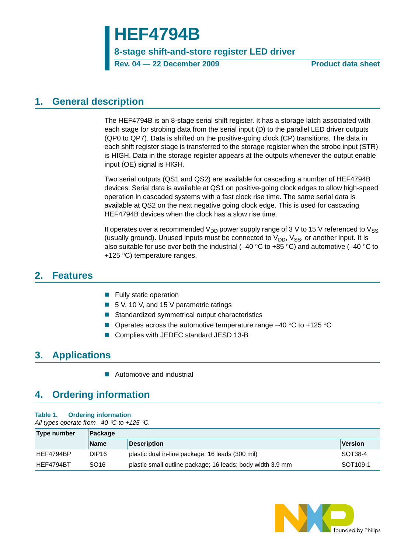# **HEF4794B**

**8-stage shift-and-store register LED driver**

Rev. 04 – 22 December 2009 **Product data sheet** 

# <span id="page-0-1"></span>**1. General description**

The HEF4794B is an 8-stage serial shift register. It has a storage latch associated with each stage for strobing data from the serial input (D) to the parallel LED driver outputs (QP0 to QP7). Data is shifted on the positive-going clock (CP) transitions. The data in each shift register stage is transferred to the storage register when the strobe input (STR) is HIGH. Data in the storage register appears at the outputs whenever the output enable input (OE) signal is HIGH.

Two serial outputs (QS1 and QS2) are available for cascading a number of HEF4794B devices. Serial data is available at QS1 on positive-going clock edges to allow high-speed operation in cascaded systems with a fast clock rise time. The same serial data is available at QS2 on the next negative going clock edge. This is used for cascading HEF4794B devices when the clock has a slow rise time.

It operates over a recommended  $V_{DD}$  power supply range of 3 V to 15 V referenced to  $V_{SS}$ (usually ground). Unused inputs must be connected to  $V_{DD}$ ,  $V_{SS}$ , or another input. It is also suitable for use over both the industrial (−40 °C to +85 °C) and automotive (−40 °C to +125 °C) temperature ranges.

### <span id="page-0-0"></span>**2. Features**

- **Fully static operation**
- 5 V, 10 V, and 15 V parametric ratings
- Standardized symmetrical output characteristics
- Operates across the automotive temperature range -40 °C to +125 °C
- Complies with JEDEC standard JESD 13-B

# <span id="page-0-2"></span>**3. Applications**

■ Automotive and industrial

# <span id="page-0-3"></span>**4. Ordering information**

#### **Table 1. Ordering information**

*All types operate from* −*40* °*C to +125* °*C.*

| Type number | <b>Package</b>    |                                                            |                      |  |  |  |  |  |  |  |
|-------------|-------------------|------------------------------------------------------------|----------------------|--|--|--|--|--|--|--|
|             | <b>Name</b>       | <b>Description</b>                                         | Version              |  |  |  |  |  |  |  |
| HEF4794BP   | DIP <sub>16</sub> | plastic dual in-line package; 16 leads (300 mil)           | SOT38-4              |  |  |  |  |  |  |  |
| HEF4794BT   | SO <sub>16</sub>  | plastic small outline package; 16 leads; body width 3.9 mm | SOT <sub>109-1</sub> |  |  |  |  |  |  |  |

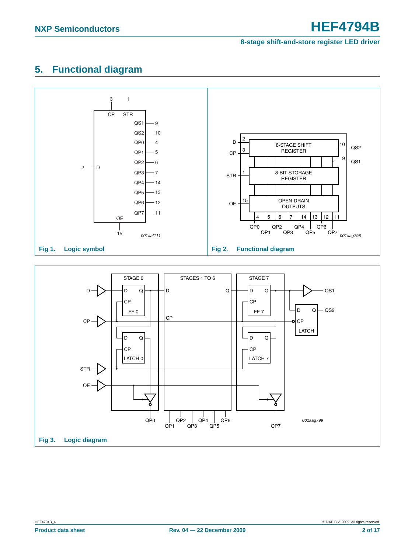# <span id="page-1-0"></span>**5. Functional diagram**



**Fig 3. Logic diagram**

STR

OE

LATCH 0

QP0 QP2

QP1

 $QP4$   $QP5$ 

QP6

QP3

*001aag799*

 $QPT$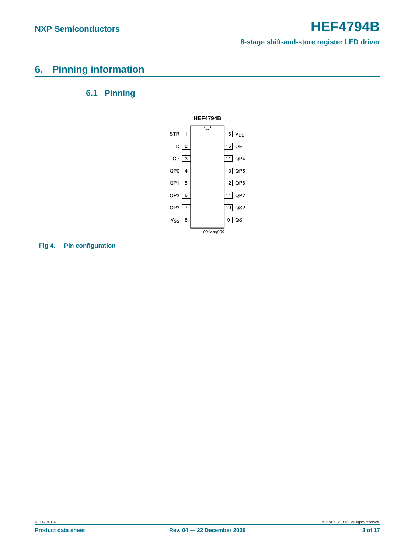# <span id="page-2-0"></span>**6. Pinning information**

### **6.1 Pinning**

<span id="page-2-1"></span>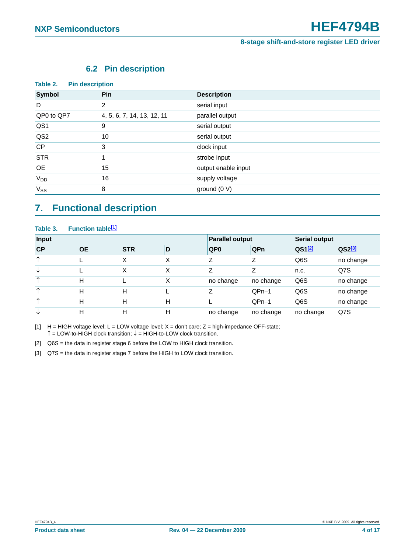#### **6.2 Pin description**

<span id="page-3-3"></span>

| Table 2.<br><b>Pin description</b> |                            |                     |
|------------------------------------|----------------------------|---------------------|
| Symbol                             | <b>Pin</b>                 | <b>Description</b>  |
| D                                  | 2                          | serial input        |
| QP0 to QP7                         | 4, 5, 6, 7, 14, 13, 12, 11 | parallel output     |
| QS1                                | 9                          | serial output       |
| QS <sub>2</sub>                    | 10                         | serial output       |
| <b>CP</b>                          | 3                          | clock input         |
| <b>STR</b>                         |                            | strobe input        |
| <b>OE</b>                          | 15                         | output enable input |
| <b>V<sub>DD</sub></b>              | 16                         | supply voltage      |
| $V_{SS}$                           | 8                          | ground (0 V)        |

# <span id="page-3-4"></span>**7. Functional description**

| Table 3. | <b>Function table<sup>[1]</sup></b> |            |   |                        |            |                      |             |
|----------|-------------------------------------|------------|---|------------------------|------------|----------------------|-------------|
| Input    |                                     |            |   | <b>Parallel output</b> |            | <b>Serial output</b> |             |
| CP       | <b>OE</b>                           | <b>STR</b> | D | QP <sub>0</sub>        | <b>QPn</b> | $QS1$ <sup>[2]</sup> | $QS2^{[3]}$ |
| ↑        |                                     | х          | Χ | Ζ                      | Ζ          | Q6S                  | no change   |
| ↓        |                                     | X          | Χ | Ζ                      | Ζ          | n.c.                 | Q7S         |
| ᠰ        | н                                   |            | Χ | no change              | no change  | Q6S                  | no change   |
| ᠰ        | н                                   | н          |   | Ζ                      | $QPn-1$    | Q6S                  | no change   |
| ᠰ        | н                                   | H          | Н |                        | $QPn-1$    | Q <sub>6</sub> S     | no change   |
| ∿        | н                                   | H          | Н | no change              | no change  | no change            | Q7S         |

<span id="page-3-1"></span>[1] H = HIGH voltage level; L = LOW voltage level; X = don't care; Z = high-impedance OFF-state;  $\uparrow$  = LOW-to-HIGH clock transition;  $\downarrow$  = HIGH-to-LOW clock transition.

<span id="page-3-0"></span>[2] Q6S = the data in register stage 6 before the LOW to HIGH clock transition.

<span id="page-3-2"></span>[3] Q7S = the data in register stage 7 before the HIGH to LOW clock transition.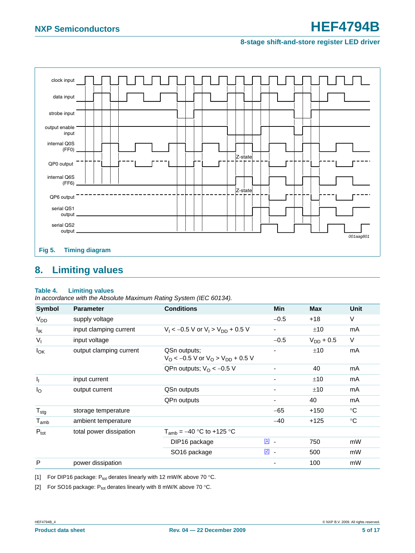

# <span id="page-4-2"></span>**8. Limiting values**

#### **Table 4. Limiting values**

*In accordance with the Absolute Maximum Rating System (IEC 60134).*

| <b>Symbol</b>               | <b>Parameter</b>        | <b>Conditions</b>                                                          | <b>Min</b>              | <b>Max</b>     | Unit        |
|-----------------------------|-------------------------|----------------------------------------------------------------------------|-------------------------|----------------|-------------|
| <b>V<sub>DD</sub></b>       | supply voltage          |                                                                            | $-0.5$                  | $+18$          | $\vee$      |
| lικ                         | input clamping current  | $V_1 < -0.5$ V or $V_1 > V_{DD} + 0.5$ V                                   |                         | ±10            | mA          |
| $V_{I}$                     | input voltage           |                                                                            | $-0.5$                  | $V_{DD}$ + 0.5 | $\vee$      |
| $I_{OK}$                    | output clamping current | QSn outputs;<br>$V_{\rm O}$ < -0.5 V or $V_{\rm O}$ > $V_{\rm DD}$ + 0.5 V |                         | ±10            | mA          |
|                             |                         | QPn outputs; $V_O < -0.5$ V                                                |                         | 40             | mA          |
| ı,                          | input current           |                                                                            | ۰                       | ±10            | mA          |
| $I_{\rm O}$                 | output current          | QSn outputs                                                                |                         | ±10            | mA          |
|                             |                         | QPn outputs                                                                |                         | 40             | mA          |
| $T_{\text{stg}}$            | storage temperature     |                                                                            | $-65$                   | $+150$         | $^{\circ}C$ |
| $\mathsf{T}_{\mathsf{amb}}$ | ambient temperature     |                                                                            | $-40$                   | $+125$         | $^{\circ}C$ |
| $P_{\text{tot}}$            | total power dissipation | $T_{amb} = -40$ °C to +125 °C                                              |                         |                |             |
|                             |                         | DIP16 package                                                              | $\boxed{1}$ $\boxed{1}$ | 750            | mW          |
|                             |                         | SO <sub>16</sub> package                                                   | $\boxed{2}$ .           | 500            | mW          |
| P                           | power dissipation       |                                                                            |                         | 100            | mW          |

<span id="page-4-0"></span>[1] For DIP16 package:  $P_{tot}$  derates linearly with 12 mW/K above 70 °C.

<span id="page-4-1"></span>[2] For SO16 package:  $P_{tot}$  derates linearly with 8 mW/K above 70 °C.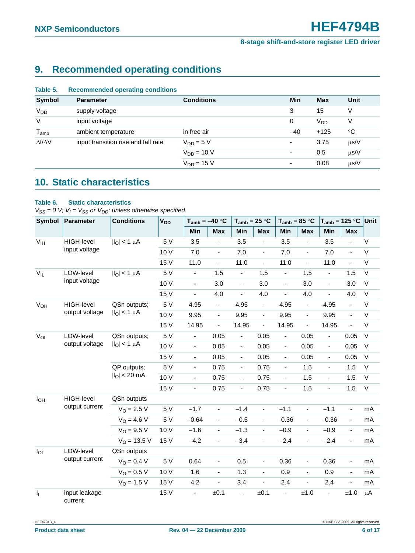# <span id="page-5-0"></span>**9. Recommended operating conditions**

| Table 5.              | <b>Recommended operating conditions</b> |                   |            |                 |           |
|-----------------------|-----------------------------------------|-------------------|------------|-----------------|-----------|
| <b>Symbol</b>         | <b>Parameter</b>                        | <b>Conditions</b> | <b>Min</b> | <b>Max</b>      | Unit      |
| <b>V<sub>DD</sub></b> | supply voltage                          |                   | 3          | 15              | ٧         |
| $V_{I}$               | input voltage                           |                   | 0          | V <sub>DD</sub> | V         |
| $T_{amb}$             | ambient temperature                     | in free air       | $-40$      | $+125$          | °C        |
| $\Delta t/\Delta V$   | input transition rise and fall rate     | $V_{DD} = 5 V$    | $\sim$     | 3.75            | $\mu$ s/V |
|                       |                                         | $V_{DD}$ = 10 V   | ۰          | 0.5             | $\mu$ s/V |
|                       |                                         | $V_{DD} = 15 V$   | $\sim$     | 0.08            | $\mu$ s/V |

# <span id="page-5-1"></span>**10. Static characteristics**

#### **Table 6. Static characteristics**

 $V_{SS} = 0$  V;  $V_I = V_{SS}$  or  $V_{DD}$ ; unless otherwise specified.

| <b>Symbol</b>           | Parameter                | <b>Conditions</b>                       | <b>V<sub>DD</sub></b> | $T_{amb} = -40 °C$           |                          | $T_{amb} = 25 °C$            |                              | $T_{amb} = 85 °C$        |                          | $T_{amb}$ = 125 °C Unit      |                          |             |
|-------------------------|--------------------------|-----------------------------------------|-----------------------|------------------------------|--------------------------|------------------------------|------------------------------|--------------------------|--------------------------|------------------------------|--------------------------|-------------|
|                         |                          |                                         |                       | Min                          | <b>Max</b>               | Min                          | Max                          | Min                      | Max                      | Min                          | <b>Max</b>               |             |
| V <sub>IH</sub>         | <b>HIGH-level</b>        | $ I_{\Omega}  < 1 \mu A$                | 5 V                   | 3.5                          | $\overline{\phantom{a}}$ | 3.5                          | $\qquad \qquad \blacksquare$ | 3.5                      | ÷,                       | 3.5                          | $\overline{\phantom{0}}$ | $\sf V$     |
|                         | input voltage            |                                         | 10 V                  | 7.0                          | $\overline{\phantom{a}}$ | 7.0                          | $\blacksquare$               | 7.0                      | $\overline{\phantom{a}}$ | 7.0                          | $\frac{1}{2}$            | V           |
|                         |                          |                                         | 15 V                  | 11.0                         | $\blacksquare$           | 11.0                         | ÷,                           | 11.0                     | $\blacksquare$           | 11.0                         | $\overline{\phantom{a}}$ | $\mathsf V$ |
| $V_{IL}$                | LOW-level                | $ I_{\text{O}} $ < 1 µA                 | 5 V                   | $\blacksquare$               | 1.5                      | $\blacksquare$               | 1.5                          | ٠                        | 1.5                      | $\blacksquare$               | 1.5                      | $\sf V$     |
|                         | input voltage            |                                         | 10 V                  | $\blacksquare$               | 3.0                      | $\overline{\phantom{a}}$     | 3.0                          | $\overline{\phantom{0}}$ | 3.0                      | $\qquad \qquad \blacksquare$ | 3.0                      | $\mathsf V$ |
|                         |                          |                                         | 15 V                  | $\overline{\phantom{a}}$     | 4.0                      | $\overline{\phantom{a}}$     | 4.0                          | ÷,                       | 4.0                      | ÷,                           | 4.0                      | $\mathsf V$ |
| $\rm V_{OH}$            | <b>HIGH-level</b>        | QSn outputs;                            | 5 V                   | 4.95                         | $\blacksquare$           | 4.95                         | ÷,                           | 4.95                     | ÷.                       | 4.95                         | ÷.                       | V           |
|                         | output voltage           | $ I_O  < 1 \mu A$                       | 10 V                  | 9.95                         | $\blacksquare$           | 9.95                         | $\blacksquare$               | 9.95                     | $\blacksquare$           | 9.95                         | $\blacksquare$           | V           |
|                         |                          |                                         | 15 V                  | 14.95                        | $\overline{\phantom{a}}$ | 14.95                        | ÷,                           | 14.95                    | ÷,                       | 14.95                        | $\blacksquare$           | V           |
| $V_{OL}$                | LOW-level                | QSn outputs;                            | 5 V                   | $\blacksquare$               | 0.05                     | $\overline{\phantom{a}}$     | 0.05                         | $\overline{\phantom{a}}$ | 0.05                     | $\overline{\phantom{0}}$     | 0.05                     | $\vee$      |
|                         | output voltage           | $ I_O  < 1 \mu A$                       | 10 V                  | $\qquad \qquad \blacksquare$ | 0.05                     | $\blacksquare$               | 0.05                         | ٠                        | 0.05                     | $\frac{1}{2}$                | 0.05                     | $\vee$      |
|                         |                          |                                         | 15 V                  | $\overline{\phantom{a}}$     | 0.05                     | $\qquad \qquad \blacksquare$ | 0.05                         | $\blacksquare$           | 0.05                     | $\overline{\phantom{0}}$     | 0.05                     | $\sf V$     |
|                         |                          | QP outputs;<br>$ I_{\text{O}} $ < 20 mA | 5 V                   | $\overline{\phantom{0}}$     | 0.75                     | $\overline{\phantom{a}}$     | 0.75                         | $\overline{\phantom{a}}$ | 1.5                      | -                            | 1.5                      | $\mathsf V$ |
|                         |                          |                                         | 10 V                  | ÷                            | 0.75                     | $\blacksquare$               | 0.75                         | $\blacksquare$           | 1.5                      | ÷,                           | 1.5                      | $\mathsf V$ |
|                         |                          |                                         | 15 V                  | $\overline{\phantom{a}}$     | 0.75                     | $\blacksquare$               | 0.75                         | $\overline{\phantom{a}}$ | 1.5                      | $\blacksquare$               | 1.5                      | V           |
| $I_{OH}$                | <b>HIGH-level</b>        | QSn outputs                             |                       |                              |                          |                              |                              |                          |                          |                              |                          |             |
|                         | output current           | $V_{\Omega} = 2.5 V$                    | 5 V                   | $-1.7$                       | $\overline{\phantom{a}}$ | $-1.4$                       | $\blacksquare$               | $-1.1$                   | $\overline{\phantom{a}}$ | $-1.1$                       | $\overline{\phantom{a}}$ | mA          |
|                         |                          | $V_{\Omega} = 4.6 V$                    | 5 V                   | $-0.64$                      | $\blacksquare$           | $-0.5$                       | $\blacksquare$               | $-0.36$                  | $\blacksquare$           | $-0.36$                      | $\blacksquare$           | mA          |
|                         |                          | $V_0 = 9.5 V$                           | 10 V                  | $-1.6$                       | $\overline{\phantom{a}}$ | $-1.3$                       | $\blacksquare$               | $-0.9$                   | $\blacksquare$           | $-0.9$                       | $\blacksquare$           | mA          |
|                         |                          | $V_{O}$ = 13.5 V                        | 15 V                  | $-4.2$                       | $\overline{\phantom{a}}$ | $-3.4$                       | ä,                           | $-2.4$                   | $\blacksquare$           | $-2.4$                       | $\blacksquare$           | mA          |
| $I_{OL}$                | LOW-level                | QSn outputs                             |                       |                              |                          |                              |                              |                          |                          |                              |                          |             |
|                         | output current           | $V_O = 0.4 V$                           | 5 V                   | 0.64                         | $\overline{\phantom{a}}$ | 0.5                          | $\blacksquare$               | 0.36                     | $\blacksquare$           | 0.36                         | $\blacksquare$           | mA          |
|                         |                          | $V_{\Omega} = 0.5 V$                    | 10 V                  | 1.6                          | $\blacksquare$           | 1.3                          | $\blacksquare$               | 0.9                      | $\overline{\phantom{a}}$ | 0.9                          | $\blacksquare$           | mA          |
|                         |                          | $V_O = 1.5 V$                           | 15 V                  | 4.2                          |                          | 3.4                          | ÷,                           | 2.4                      | $\overline{\phantom{a}}$ | 2.4                          | ÷,                       | mA          |
| $\mathsf{I}_\mathrm{I}$ | input leakage<br>current |                                         | 15 V                  | ÷                            | ±0.1                     | ÷                            | ±0.1                         | $\blacksquare$           | $\pm 1.0$                | $\frac{1}{2}$                | $\pm 1.0$                | μA          |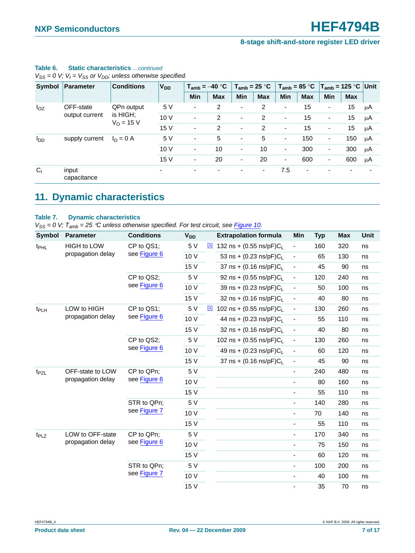#### **Table 6. Static characteristics** *…continued*

 $V_{SS} = 0$  V;  $V_I = V_{SS}$  or  $V_{DD}$ ; unless otherwise specified.

|                        | Symbol Parameter                | <b>Conditions</b>  | <b>V<sub>DD</sub></b>    | $T_{amb} = -40$ °C       |                | $T_{amb}$ = 25 °C        |            | $T_{amb}$ = 85 °C        |                          | $T_{amb}$ = 125 °C Unit  |            |    |
|------------------------|---------------------------------|--------------------|--------------------------|--------------------------|----------------|--------------------------|------------|--------------------------|--------------------------|--------------------------|------------|----|
|                        |                                 |                    |                          | Min                      | <b>Max</b>     | <b>Min</b>               | <b>Max</b> | Min                      | <b>Max</b>               | <b>Min</b>               | <b>Max</b> |    |
| $I_{OZ}$               | OFF-state                       | QPn output         | 5V                       | $\overline{\phantom{a}}$ | 2              | $\overline{\phantom{a}}$ | 2          | $\overline{\phantom{a}}$ | 15                       | $\overline{\phantom{a}}$ | 15         | μA |
| output current         | is HIGH;<br>$V_{\Omega} = 15 V$ | 10V                | $\overline{\phantom{a}}$ | 2                        | ۰              | 2                        | ۰          | 15                       | ۰                        | 15                       | μA         |    |
|                        |                                 |                    | 15 V                     | $\overline{\phantom{a}}$ | $\overline{2}$ | ٠                        | 2          |                          | 15                       | ۰                        | 15         | μA |
| <b>I</b> <sub>DD</sub> | supply current                  | $I_{\Omega} = 0$ A | 5 V                      | $\overline{\phantom{a}}$ | 5              | ٠                        | 5          | ۰                        | 150                      | ۰.                       | 150        | μA |
|                        |                                 |                    | 10V                      | $\overline{\phantom{a}}$ | 10             | ۰.                       | 10         | ۰                        | 300                      | ۰                        | 300        | μA |
|                        |                                 |                    | 15 V                     | $\overline{\phantom{a}}$ | 20             | ٠                        | 20         | ۰.                       | 600                      | ۰                        | 600        | μA |
| $C_1$                  | input<br>capacitance            |                    | $\overline{\phantom{0}}$ | $\overline{\phantom{0}}$ |                | ٠                        | ۰          | 7.5                      | $\overline{\phantom{0}}$ |                          |            |    |

# <span id="page-6-0"></span>**11. Dynamic characteristics**

#### **Table 7. Dynamic characteristics**

*V<sub>SS</sub>* = 0 *V;*  $T_{amb}$  = 25 °C unless otherwise specified. For test circuit, see *Figure 10*.

| <b>Symbol</b>    | <b>Parameter</b>   | <b>Conditions</b> | <b>V<sub>DD</sub></b> | <b>Extrapolation formula</b>                       | Min                          | <b>Typ</b> | <b>Max</b> | Unit |
|------------------|--------------------|-------------------|-----------------------|----------------------------------------------------|------------------------------|------------|------------|------|
| t <sub>PHL</sub> | <b>HIGH to LOW</b> | CP to QS1;        | 5 V                   | $\frac{11}{2}$ 132 ns + (0.55 ns/pF)C <sub>1</sub> | $\qquad \qquad \blacksquare$ | 160        | 320        | ns   |
|                  | propagation delay  | see Figure 6      | 10 V                  | 53 ns + $(0.23 \text{ ns/pF})C_L$                  | $\blacksquare$               | 65         | 130        | ns   |
|                  |                    |                   | 15 V                  | 37 ns + $(0.16 \text{ ns/pF})C_1$                  | $\overline{\phantom{a}}$     | 45         | 90         | ns   |
|                  |                    | CP to QS2;        | 5 V                   | 92 ns + $(0.55 \text{ ns/pF})C_1$                  | $\overline{\phantom{a}}$     | 120        | 240        | ns   |
|                  |                    | see Figure 6      | 10 V                  | 39 ns + $(0.23 \text{ ns/pF})C_1$                  | $\blacksquare$               | 50         | 100        | ns   |
|                  |                    |                   | 15 V                  | 32 ns + $(0.16 \text{ ns/pF})C_1$                  | $\overline{\phantom{a}}$     | 40         | 80         | ns   |
| t <sub>PLH</sub> | LOW to HIGH        | CP to QS1;        | 5 V                   | $\frac{11}{2}$ 102 ns + (0.55 ns/pF)C <sub>1</sub> | $\overline{\phantom{a}}$     | 130        | 260        | ns   |
|                  | propagation delay  | see Figure 6      | 10 V                  | 44 ns + $(0.23 \text{ ns/pF})C_1$                  | $\overline{\phantom{a}}$     | 55         | 110        | ns   |
|                  |                    |                   | 15 V                  | 32 ns + $(0.16 \text{ ns/pF})C_1$                  | $\qquad \qquad \blacksquare$ | 40         | 80         | ns   |
|                  |                    | CP to QS2;        | 5 V                   | 102 ns + $(0.55 \text{ ns/pF})C_1$                 | $\overline{\phantom{0}}$     | 130        | 260        | ns   |
|                  |                    | see Figure 6      | 10 V                  | 49 ns + $(0.23 \text{ ns/pF})C_1$                  | $\qquad \qquad \blacksquare$ | 60         | 120        | ns   |
|                  |                    |                   | 15 V                  | 37 ns + $(0.16 \text{ ns/pF})C_1$                  | ÷                            | 45         | 90         | ns   |
| t <sub>PZL</sub> | OFF-state to LOW   | CP to QPn;        | 5 V                   |                                                    | $\blacksquare$               | 240        | 480        | ns   |
|                  | propagation delay  | see Figure 6      | 10 V                  |                                                    | ä,                           | 80         | 160        | ns   |
|                  |                    |                   | 15 V                  |                                                    | $\overline{\phantom{a}}$     | 55         | 110        | ns   |
|                  |                    | STR to QPn:       | 5 V                   |                                                    | $\blacksquare$               | 140        | 280        | ns   |
|                  |                    | see Figure 7      | 10 V                  |                                                    | $\blacksquare$               | 70         | 140        | ns   |
|                  |                    |                   | 15 V                  |                                                    | ÷,                           | 55         | 110        | ns   |
| t <sub>PLZ</sub> | LOW to OFF-state   | CP to QPn;        | 5 V                   |                                                    | $\blacksquare$               | 170        | 340        | ns   |
|                  | propagation delay  | see Figure 6      | 10 V                  |                                                    | $\blacksquare$               | 75         | 150        | ns   |
|                  |                    |                   | 15 V                  |                                                    | $\overline{\phantom{a}}$     | 60         | 120        | ns   |
|                  |                    | STR to QPn;       | 5 V                   |                                                    | $\blacksquare$               | 100        | 200        | ns   |
|                  |                    | see Figure 7      | 10 V                  |                                                    | $\blacksquare$               | 40         | 100        | ns   |
|                  |                    |                   | 15 V                  |                                                    |                              | 35         | 70         | ns   |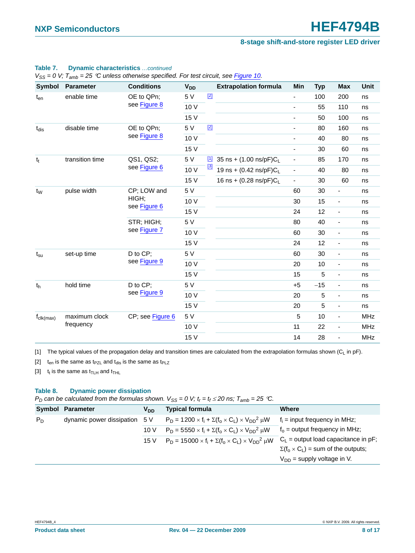#### **Table 7. Dynamic characteristics** *…continued*

*VSS = 0 V; Tamb = 25* °*C unless otherwise specified. For test circuit, see Figure 10.*

| Symbol                       | <b>Parameter</b> | <b>Conditions</b>          | <b>V<sub>DD</sub></b> |       | <b>Extrapolation formula</b>                      | Min                          | <b>Typ</b>  | <b>Max</b>                   | <b>Unit</b> |
|------------------------------|------------------|----------------------------|-----------------------|-------|---------------------------------------------------|------------------------------|-------------|------------------------------|-------------|
| $t_{en}$                     | enable time      | OE to QPn;                 | 5 V                   | $[2]$ |                                                   | $\overline{\phantom{0}}$     | 100         | 200                          | ns          |
|                              |                  | see Figure 8               | 10 V                  |       |                                                   | $\overline{\phantom{a}}$     | 55          | 110                          | ns          |
|                              |                  |                            | 15 V                  |       |                                                   | $\qquad \qquad \blacksquare$ | 50          | 100                          | ns          |
| $t_{dis}$                    | disable time     | OE to QPn;                 | 5 V                   | $[2]$ |                                                   | $\blacksquare$               | 80          | 160                          | ns          |
|                              |                  | see Figure 8               | 10 V                  |       |                                                   | $\overline{\phantom{a}}$     | 40          | 80                           | ns          |
|                              |                  |                            | 15 V                  |       |                                                   | $\overline{\phantom{a}}$     | 30          | 60                           | ns          |
| $t_t$                        | transition time  | QS1, QS2;                  | 5 V                   |       | $\frac{11}{2}$ 35 ns + (1.00 ns/pF)C <sub>L</sub> | $\overline{\phantom{0}}$     | 85          | 170                          | ns          |
|                              |                  | see Figure 6               | 10 V                  | $[3]$ | 19 ns + $(0.42 \text{ ns/pF})C_{L}$               | $\overline{\phantom{a}}$     | 40          | 80                           | ns          |
|                              |                  |                            | 15 V                  |       | 16 ns + $(0.28 \text{ ns/pF})C_L$                 | $\overline{\phantom{a}}$     | 30          | 60                           | ns          |
| $t_{\rm W}$                  | pulse width      | CP; LOW and<br>HIGH;       | 5 V                   |       |                                                   | 60                           | 30          | -                            | ns          |
|                              |                  |                            | 10 V                  |       |                                                   | 30                           | 15          | $\overline{\phantom{0}}$     | ns          |
|                              |                  | see Figure 6               | 15 V                  |       |                                                   | 24                           | 12          | $\qquad \qquad \blacksquare$ | ns          |
|                              |                  | STR; HIGH;<br>see Figure 7 | 5 V                   |       |                                                   | 80                           | 40          | $\overline{\phantom{0}}$     | ns          |
|                              |                  |                            | 10 V                  |       |                                                   | 60                           | 30          | $\frac{1}{2}$                | ns          |
|                              |                  |                            | 15 V                  |       |                                                   | 24                           | 12          | ٠                            | ns          |
| $t_{\rm su}$                 | set-up time      | D to CP;                   | 5 V                   |       |                                                   | 60                           | 30          | $\frac{1}{2}$                | ns          |
|                              |                  | see Figure 9               | 10 V                  |       |                                                   | 20                           | 10          | $\overline{\phantom{0}}$     | ns          |
|                              |                  |                            | 15 V                  |       |                                                   | 15                           | 5           | $\frac{1}{2}$                | ns          |
| t <sub>h</sub>               | hold time        | D to CP;                   | 5 V                   |       |                                                   | $+5$                         | $-15$       | $\overline{\phantom{a}}$     | ns          |
|                              |                  | see Figure 9               | 10 V                  |       |                                                   | 20                           | $\mathbf 5$ | -                            | ns          |
|                              |                  |                            | 15 V                  |       |                                                   | 20                           | $\sqrt{5}$  | $\overline{\phantom{a}}$     | ns          |
| $f_{\text{clk}(\text{max})}$ | maximum clock    | CP; see Figure 6           | 5 V                   |       |                                                   | 5                            | 10          | -                            | <b>MHz</b>  |
|                              | frequency        |                            | 10 V                  |       |                                                   | 11                           | 22          | -                            | <b>MHz</b>  |
|                              |                  |                            | 15 V                  |       |                                                   | 14                           | 28          | -                            | <b>MHz</b>  |

<span id="page-7-0"></span>[1] The typical values of the propagation delay and transition times are calculated from the extrapolation formulas shown ( $C_L$  in pF).

<span id="page-7-2"></span>[2]  $t_{en}$  is the same as  $t_{PZL}$  and  $t_{dis}$  is the same as  $t_{PLZ}$ 

<span id="page-7-1"></span>[3]  $t_t$  is the same as  $t_{\text{TLH}}$  and  $t_{\text{THL}}$ 

#### **Table 8. Dynamic power dissipation**

*P<sub>D</sub>* can be calculated from the formulas shown.  $V_{SS} = 0$  V;  $t_r = t_f \le 20$  ns;  $T_{amb} = 25$  °C.

| Symbol Parameter | V <sub>DD</sub> | <b>Typical formula</b>         | Where                                                                                                                                                                                                                        |
|------------------|-----------------|--------------------------------|------------------------------------------------------------------------------------------------------------------------------------------------------------------------------------------------------------------------------|
|                  |                 |                                | $f_i$ = input frequency in MHz;                                                                                                                                                                                              |
|                  | 10 V            |                                | $f_0$ = output frequency in MHz;                                                                                                                                                                                             |
|                  | 15 V            |                                | $C_{L}$ = output load capacitance in pF;                                                                                                                                                                                     |
|                  |                 |                                | $\Sigma(f_0 \times C_L)$ = sum of the outputs;                                                                                                                                                                               |
|                  |                 |                                | $V_{DD}$ = supply voltage in V.                                                                                                                                                                                              |
|                  |                 | dynamic power dissipation $5V$ | $P_D = 1200 \times f_i + \Sigma(f_0 \times C_1) \times V_{DD}^2 \mu W$<br>$P_D = 5550 \times f_i + \Sigma (f_0 \times C_L) \times V_{DD}^2 \mu W$<br>$P_D = 15000 \times f_i + \Sigma(f_0 \times C_L) \times V_{DD}^2 \mu W$ |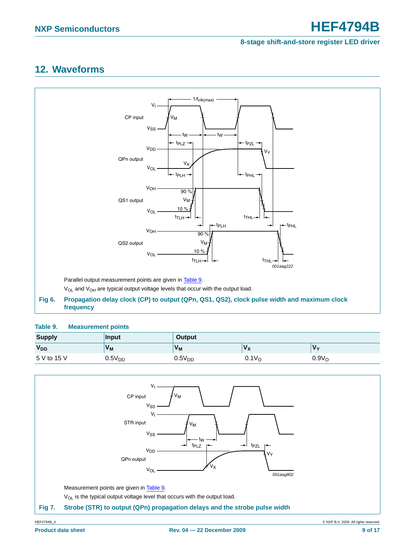# <span id="page-8-3"></span>**12. Waveforms**



#### <span id="page-8-2"></span><span id="page-8-0"></span>**Table 9. Measurement points**

| <b>Supply</b>         | Input          | Output             |                   |                       |  |  |  |
|-----------------------|----------------|--------------------|-------------------|-----------------------|--|--|--|
| <b>V<sub>DD</sub></b> | V <sub>M</sub> | V <sub>M</sub>     | $V_{\rm X}$       | <b>V</b> <sub>Y</sub> |  |  |  |
| 5 V to 15 V           | $0.5V_{DD}$    | 0.5V <sub>DD</sub> | 0.1V <sub>O</sub> | 0.9V <sub>O</sub>     |  |  |  |

<span id="page-8-1"></span>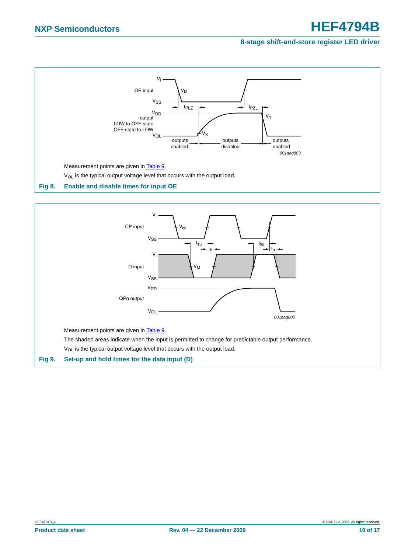

<span id="page-9-1"></span><span id="page-9-0"></span>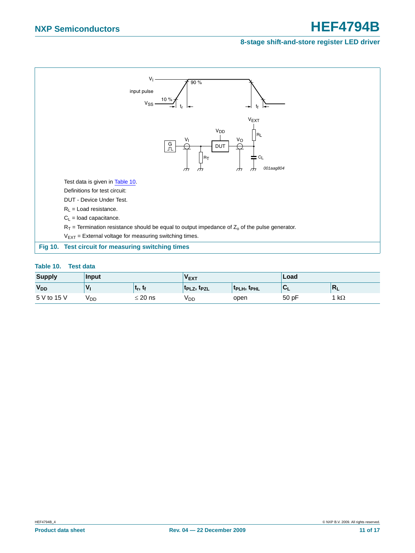

#### <span id="page-10-1"></span><span id="page-10-0"></span>**Table 10. Test data**

| <b>Supply</b>         | Input           |                  | V <sub>EXT</sub>  |                   | Load  |                           |
|-----------------------|-----------------|------------------|-------------------|-------------------|-------|---------------------------|
| <b>V<sub>DD</sub></b> | v               | ւ <sub>ր</sub> , | <b>LPLZ, LPZL</b> | <b>TPLH, TPHL</b> |       | $\mathbb{R}_{\mathsf{L}}$ |
| 5 V to 15 V           | <sup>V</sup> DD | $\leq$ 20 ns     | V DD              | open              | 50 pF | $k\Omega$                 |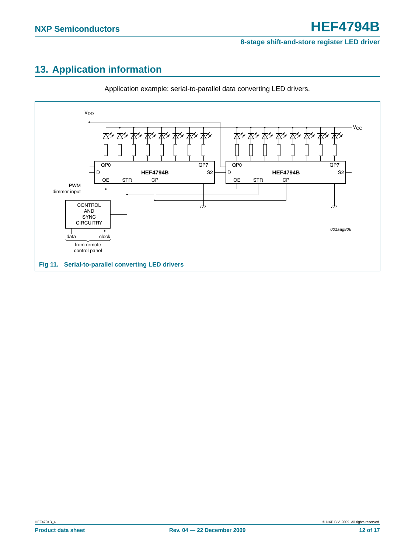# <span id="page-11-0"></span>**13. Application information**



Application example: serial-to-parallel data converting LED drivers.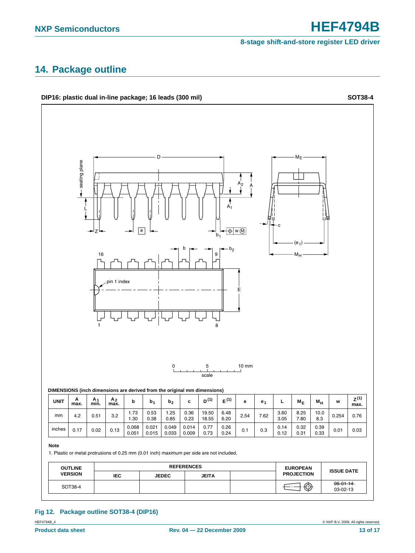# <span id="page-12-0"></span>**14. Package outline**



#### **Fig 12. Package outline SOT38-4 (DIP16)**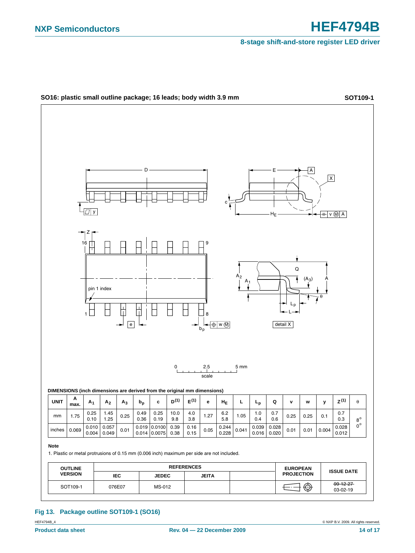

#### **Fig 13. Package outline SOT109-1 (SO16)**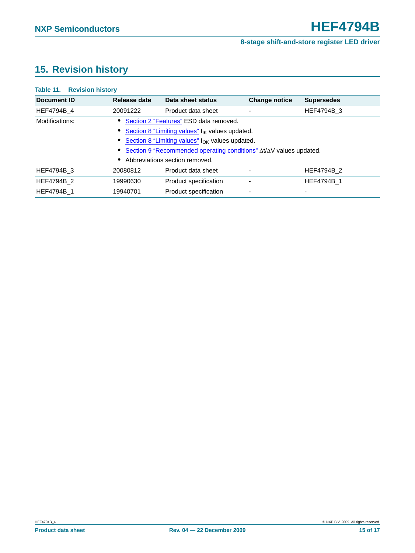# <span id="page-14-0"></span>**15. Revision history**

#### **Table 11. Revision history**

| Document ID    | Release date                                                                       | Data sheet status     | <b>Change notice</b>     | <b>Supersedes</b> |  |  |
|----------------|------------------------------------------------------------------------------------|-----------------------|--------------------------|-------------------|--|--|
| HEF4794B 4     | 20091222                                                                           | Product data sheet    |                          | HEF4794B 3        |  |  |
| Modifications: | Section 2 "Features" ESD data removed.                                             |                       |                          |                   |  |  |
|                | • Section 8 "Limiting values" I <sub>IK</sub> values updated.                      |                       |                          |                   |  |  |
|                | Section 8 "Limiting values" $I_{OK}$ values updated.                               |                       |                          |                   |  |  |
|                | • Section 9 "Recommended operating conditions" $\Delta t/\Delta V$ values updated. |                       |                          |                   |  |  |
|                | Abbreviations section removed.                                                     |                       |                          |                   |  |  |
| HEF4794B 3     | 20080812                                                                           | Product data sheet    | ٠                        | HEF4794B 2        |  |  |
| HEF4794B 2     | 19990630                                                                           | Product specification | ۰                        | HEF4794B 1        |  |  |
| HEF4794B 1     | 19940701                                                                           | Product specification | $\overline{\phantom{a}}$ | $\overline{a}$    |  |  |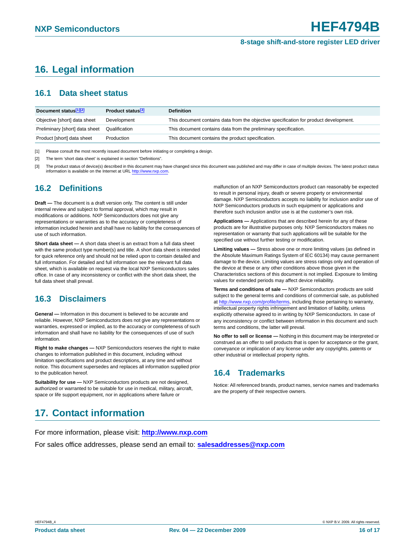# <span id="page-15-0"></span>**16. Legal information**

### <span id="page-15-1"></span>**16.1 Data sheet status**

| Document status <sup>[1][2]</sup> | Product status <sup>[3]</sup> | <b>Definition</b>                                                                     |
|-----------------------------------|-------------------------------|---------------------------------------------------------------------------------------|
| Objective [short] data sheet      | Development                   | This document contains data from the objective specification for product development. |
| Preliminary [short] data sheet    | Qualification                 | This document contains data from the preliminary specification.                       |
| Product [short] data sheet        | Production                    | This document contains the product specification.                                     |

[1] Please consult the most recently issued document before initiating or completing a design.

[2] The term 'short data sheet' is explained in section "Definitions".

[3] The product status of device(s) described in this document may have changed since this document was published and may differ in case of multiple devices. The latest product status information is available on the Internet at URL http://www.nxp.com.

### <span id="page-15-2"></span>**16.2 Definitions**

**Draft —** The document is a draft version only. The content is still under internal review and subject to formal approval, which may result in modifications or additions. NXP Semiconductors does not give any representations or warranties as to the accuracy or completeness of information included herein and shall have no liability for the consequences of use of such information.

**Short data sheet —** A short data sheet is an extract from a full data sheet with the same product type number(s) and title. A short data sheet is intended for quick reference only and should not be relied upon to contain detailed and full information. For detailed and full information see the relevant full data sheet, which is available on request via the local NXP Semiconductors sales office. In case of any inconsistency or conflict with the short data sheet, the full data sheet shall prevail.

### <span id="page-15-3"></span>**16.3 Disclaimers**

**General —** Information in this document is believed to be accurate and reliable. However, NXP Semiconductors does not give any representations or warranties, expressed or implied, as to the accuracy or completeness of such information and shall have no liability for the consequences of use of such information.

**Right to make changes —** NXP Semiconductors reserves the right to make changes to information published in this document, including without limitation specifications and product descriptions, at any time and without notice. This document supersedes and replaces all information supplied prior to the publication hereof.

**Suitability for use —** NXP Semiconductors products are not designed, authorized or warranted to be suitable for use in medical, military, aircraft, space or life support equipment, nor in applications where failure or

malfunction of an NXP Semiconductors product can reasonably be expected to result in personal injury, death or severe property or environmental damage. NXP Semiconductors accepts no liability for inclusion and/or use of NXP Semiconductors products in such equipment or applications and therefore such inclusion and/or use is at the customer's own risk.

**Applications —** Applications that are described herein for any of these products are for illustrative purposes only. NXP Semiconductors makes no representation or warranty that such applications will be suitable for the specified use without further testing or modification.

**Limiting values —** Stress above one or more limiting values (as defined in the Absolute Maximum Ratings System of IEC 60134) may cause permanent damage to the device. Limiting values are stress ratings only and operation of the device at these or any other conditions above those given in the Characteristics sections of this document is not implied. Exposure to limiting values for extended periods may affect device reliability.

**Terms and conditions of sale —** NXP Semiconductors products are sold subject to the general terms and conditions of commercial sale, as published at http://www.nxp.com/profile/terms, including those pertaining to warranty, intellectual property rights infringement and limitation of liability, unless explicitly otherwise agreed to in writing by NXP Semiconductors. In case of any inconsistency or conflict between information in this document and such terms and conditions, the latter will prevail.

**No offer to sell or license —** Nothing in this document may be interpreted or construed as an offer to sell products that is open for acceptance or the grant, conveyance or implication of any license under any copyrights, patents or other industrial or intellectual property rights.

### <span id="page-15-4"></span>**16.4 Trademarks**

Notice: All referenced brands, product names, service names and trademarks are the property of their respective owners.

# <span id="page-15-5"></span>**17. Contact information**

For more information, please visit: **http://www.nxp.com**

For sales office addresses, please send an email to: **salesaddresses@nxp.com**